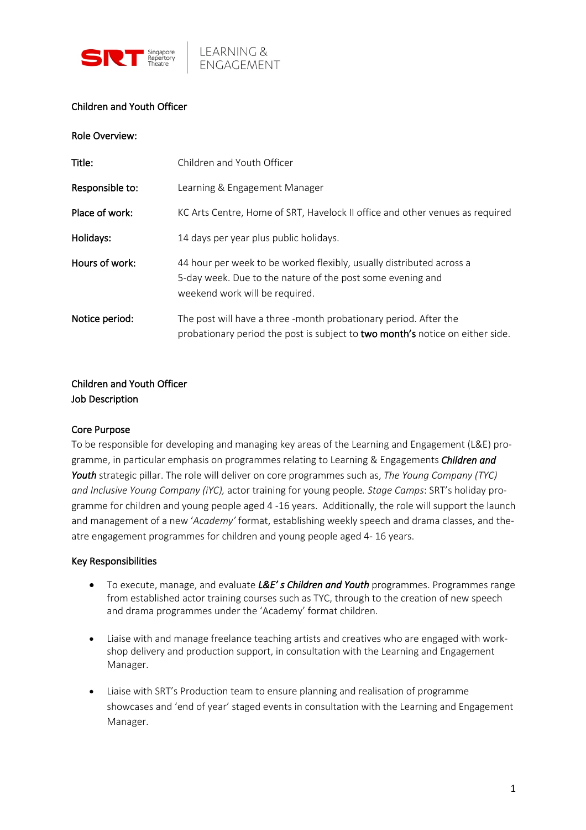



### Children and Youth Officer

Role Overview:

| Title:          | Children and Youth Officer                                                                                                                                           |
|-----------------|----------------------------------------------------------------------------------------------------------------------------------------------------------------------|
| Responsible to: | Learning & Engagement Manager                                                                                                                                        |
| Place of work:  | KC Arts Centre, Home of SRT, Havelock II office and other venues as required                                                                                         |
| Holidays:       | 14 days per year plus public holidays.                                                                                                                               |
| Hours of work:  | 44 hour per week to be worked flexibly, usually distributed across a<br>5-day week. Due to the nature of the post some evening and<br>weekend work will be required. |
| Notice period:  | The post will have a three -month probationary period. After the<br>probationary period the post is subject to two month's notice on either side.                    |

# Children and Youth Officer Job Description

#### Core Purpose

To be responsible for developing and managing key areas of the Learning and Engagement (L&E) programme, in particular emphasis on programmes relating to Learning & Engagements *Children and Youth* strategic pillar. The role will deliver on core programmes such as, *The Young Company (TYC) and Inclusive Young Company (iYC),* actor training for young people*. Stage Camps*: SRT's holiday programme for children and young people aged 4 -16 years. Additionally, the role will support the launch and management of a new '*Academy'* format, establishing weekly speech and drama classes, and theatre engagement programmes for children and young people aged 4- 16 years.

#### Key Responsibilities

- To execute, manage, and evaluate *L&E' s Children and Youth* programmes. Programmes range from established actor training courses such as TYC, through to the creation of new speech and drama programmes under the 'Academy' format children.
- Liaise with and manage freelance teaching artists and creatives who are engaged with workshop delivery and production support, in consultation with the Learning and Engagement Manager.
- Liaise with SRT's Production team to ensure planning and realisation of programme showcases and 'end of year' staged events in consultation with the Learning and Engagement Manager.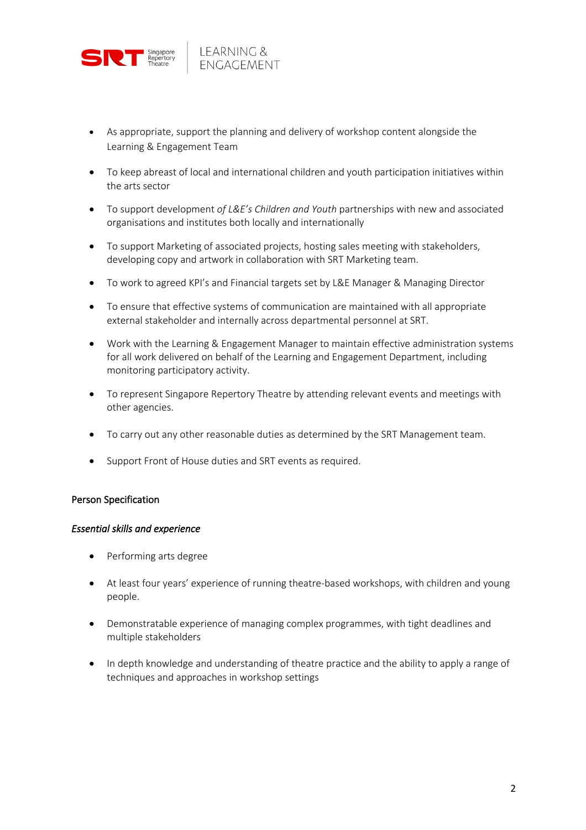

- As appropriate, support the planning and delivery of workshop content alongside the Learning & Engagement Team
- To keep abreast of local and international children and youth participation initiatives within the arts sector
- To support development *of L&E's Children and Youth* partnerships with new and associated organisations and institutes both locally and internationally
- To support Marketing of associated projects, hosting sales meeting with stakeholders, developing copy and artwork in collaboration with SRT Marketing team.
- To work to agreed KPI's and Financial targets set by L&E Manager & Managing Director
- To ensure that effective systems of communication are maintained with all appropriate external stakeholder and internally across departmental personnel at SRT.
- Work with the Learning & Engagement Manager to maintain effective administration systems for all work delivered on behalf of the Learning and Engagement Department, including monitoring participatory activity.
- To represent Singapore Repertory Theatre by attending relevant events and meetings with other agencies.
- To carry out any other reasonable duties as determined by the SRT Management team.
- Support Front of House duties and SRT events as required.

#### Person Specification

#### *Essential skills and experience*

- Performing arts degree
- At least four years' experience of running theatre-based workshops, with children and young people.
- Demonstratable experience of managing complex programmes, with tight deadlines and multiple stakeholders
- In depth knowledge and understanding of theatre practice and the ability to apply a range of techniques and approaches in workshop settings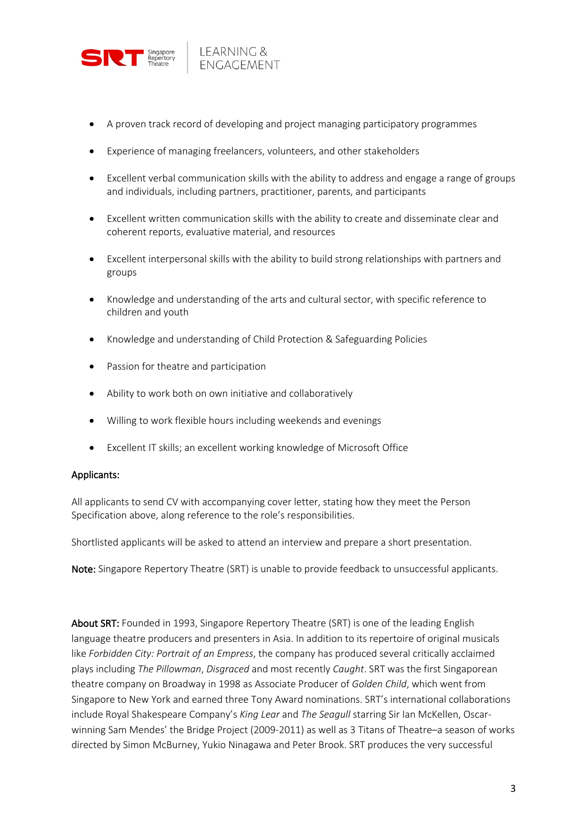

- A proven track record of developing and project managing participatory programmes
- Experience of managing freelancers, volunteers, and other stakeholders
- Excellent verbal communication skills with the ability to address and engage a range of groups and individuals, including partners, practitioner, parents, and participants
- Excellent written communication skills with the ability to create and disseminate clear and coherent reports, evaluative material, and resources
- Excellent interpersonal skills with the ability to build strong relationships with partners and groups
- Knowledge and understanding of the arts and cultural sector, with specific reference to children and youth
- Knowledge and understanding of Child Protection & Safeguarding Policies
- Passion for theatre and participation
- Ability to work both on own initiative and collaboratively
- Willing to work flexible hours including weekends and evenings
- Excellent IT skills; an excellent working knowledge of Microsoft Office

#### Applicants:

All applicants to send CV with accompanying cover letter, stating how they meet the Person Specification above, along reference to the role's responsibilities.

Shortlisted applicants will be asked to attend an interview and prepare a short presentation.

Note: Singapore Repertory Theatre (SRT) is unable to provide feedback to unsuccessful applicants.

About SRT: Founded in 1993, Singapore Repertory Theatre (SRT) is one of the leading English language theatre producers and presenters in Asia. In addition to its repertoire of original musicals like *Forbidden City: Portrait of an Empress*, the company has produced several critically acclaimed plays including *The Pillowman*, *Disgraced* and most recently *Caught*. SRT was the first Singaporean theatre company on Broadway in 1998 as Associate Producer of *Golden Child*, which went from Singapore to New York and earned three Tony Award nominations. SRT's international collaborations include Royal Shakespeare Company's *King Lear* and *The Seagull* starring Sir Ian McKellen, Oscarwinning Sam Mendes' the Bridge Project (2009-2011) as well as 3 Titans of Theatre–a season of works directed by Simon McBurney, Yukio Ninagawa and Peter Brook. SRT produces the very successful